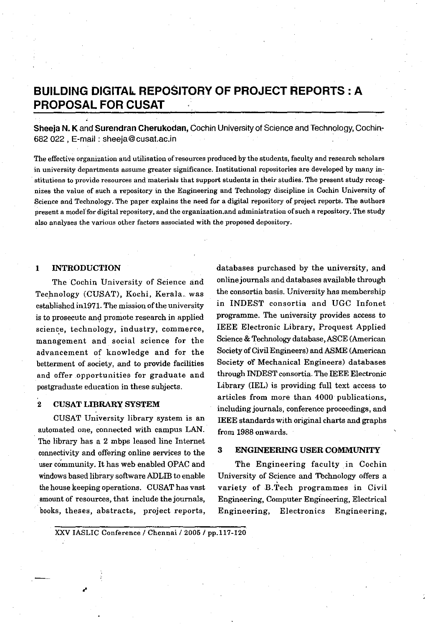# **BUILDING DIGITAL. REPOSITORY OF PROJECT REPORTS: A PROPOSAL FOR CUSAT**

**Sheeja N. K** and **Surendran Cherukodan,** Cochin University of Science and Technology, Cochin-682022, E-mail: sheeja@cusal.ac.in

**The effective organization and utilisation of resources produced by the students, faculty and research scholars in university departments assume greater significance. Institutional repositories are developed by many institutions to provide resources** and materials **that support students in their studies. The present study recognizes the value of such a repository in the Engineering and Technology discipline in** Cochin **University of Science and Technology. The paper explains the need for a digital repository** ofproject **reports. The authors present a** modelfor **digital repository, and the** organization.and **administration** ofsuch **a repository. The study also analyses the various other factors associated with the proposed depository.**

## **1 iNTRODUCTION**

The Cochin University of Science and Technology (CUSAT), Kochi, Kerala. was established in1971. The mission of the university is to prosecute and promote research in applied science, **technology, industry, commerce,** management and social science for the advancement of knowledge and for the betterment of society, and to provide facilities and offer opportunities for graduate and postgraduate education in these subjects.

## 2 **CUSAT LIBRARY SYSTEM**

CUSAT University library system is an automated one, connected with campus LAN. The library has a 2 mbps leased line Internet connectivity and offering online services to the user community. It has web enabled OPAC and windows based library software ADLIB to enable the house keeping operations. CUSAT has vast amount of resources, that include the journals, books, theses, abstracts, project reports,

databases purchased by the university, and online journals and databases available through the consortia basis. University has membership in INDEST consortia and UGC Infonet programme. The university provides access to IEEE Electronic Library, Proquest Applied Science & Technology database, ASCE (American Society of Civil Engineers) and ASME (American Society of Mechanical Engineers) databases through INDEST consortia. The IEEE Electronic Library (IEL) is providing full text access to articles from more than 4000 publications, including journals, conference proceedings, and IEEE standards with original charts and graphs from 1988 onwards.

## **3 ENGINEERING USER COMMUNITY**

The Engineering faculty in Cochin University of Science and Technology offers a variety of B.Tech programmes in Civil Engineering, Computer Engineering, Electrical Engineering, Electronics Engineering,

XXV IASLIC Conference / Chennai / 2005 / pp.117-120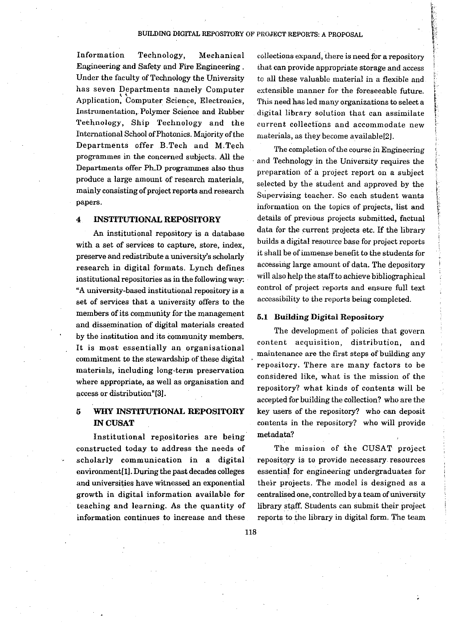### BUILDING DIGITAL REPOSITORY OF PROJECT REPORTS: A PROPOSAL

Information Technology, Mechanical Engineering and Safety and Fire Engineering. Under the faculty of Technology the University has seven Departments namely Computer Application, Computer Science, Electronics, Instrumentation, Polymer Science and Rubber Technology, Ship Technology and the International School of Photonics. Majority of the Departments offer B.Tech and M.Tech programmes in the concerned subjects. All the Departments offer Ph.D programmes also thus produce a large amount of research materials, mainly consisting of project reports and research papers.

#### $\boldsymbol{4}$ **INSTITUTIONAL REPOSITORY**

An institutional repository is a database with a set of services to capture, store, index, preserve and redistribute a university's scholarly research in digital formats. Lynch defines institutional repositories as in the following way: "A university-based institutional repository is a set of services that a university offers to the members of its community for the management and dissemination of digital materials created by the institution and its community members. It is most essentially an organisational commitment to the stewardship of these digital materials, including long-term preservation where appropriate, as well as organisation and access or distribution"[3].

#### $\overline{5}$ WHY INSTITUTIONAL REPOSITORY **IN CUSAT**

Institutional repositories are being constructed today to address the needs of scholarly communication in a digital environment[1]. During the past decades colleges and universities have witnessed an exponential growth in digital information available for teaching and learning. As the quantity of information continues to increase and these

collections expand, there is need for a repository that can provide appropriate storage and access to all these valuable material in a flexible and extensible manner for the foreseeable future. This need has led many organizations to select a digital library solution that can assimilate current collections and accommodate new materials, as they become available[2].

The completion of the course in Engineering and Technology in the University requires the preparation of a project report on a subject selected by the student and approved by the Supervising teacher. So each student wants information on the topics of projects, list and details of previous projects submitted, factual data for the current projects etc. If the library builds a digital resource base for project reports it shall be of immense benefit to the students for accessing large amount of data. The depository will also help the staff to achieve bibliographical control of project reports and ensure full text accessibility to the reports being completed.

## **5.1 Building Digital Repository**

The development of policies that govern content acquisition, distribution, and maintenance are the first steps of building any repository. There are many factors to be considered like, what is the mission of the repository? what kinds of contents will be accepted for building the collection? who are the key users of the repository? who can deposit contents in the repository? who will provide metadata?

The mission of the CUSAT project repository is to provide necessary resources essential for engineering undergraduates for their projects. The model is designed as a centralised one, controlled by a team of university library staff. Students can submit their project reports to the library in digital form. The team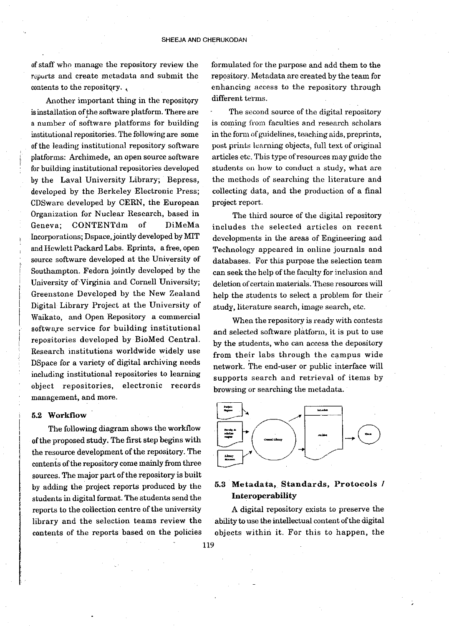of staff who manage the repository review the reports and create metadata and submit the contents to the repository.

Another important thing in the repository is installation of the software platform. There are a number of software platforms for building institutional repositories. The following are some of the leading institutional repository software platforms: Archimede, an open source software for building institutional repositories developed by the Laval University Library; Bepress, developed by the Berkeley Electronic Press; CDSware developed by CERN, the European Organization for Nuclear Research, based in Geneva; CONTENTdm of DiMeMa Incorporations; Dspace, jointly developed by MIT and Hewlett Packard Labs. Eprints, a free, open source software developed at the University of Southampton. Fedora jointly developed by the University of Virginia and Cornell University; Greenstone Developed by the New Zealand Digital Library Project at the University of Waikato, and Open Repository a commercial software service for building institutional repositories developed by BioMed Central. Research institutions worldwide widely use DSpace for a variety of digital archiving needs including institutional repositories to learning object repositories, electronic records management, and more.

### 5.2 Workflow

The following diagram shows the workflow of the proposed study. The first step begins with the resource development of the repository. The contents of the repository come mainly from three sources. The major part of the repository is built by adding the project reports produced by the students in digital format. The students send the reports to the collection centre of the university library and the selection teams review the contents of the reports based on the policies formulated for the purpose and add them to the repository. Metadata are created by the team for enhancing access to the repository through different terms.

The second source of the digital repository is coming from faculties and research scholars in the form of guidelines, teaching aids, preprints, post prints learning objects, full text of original articles etc. This type of resources may guide the students on how to conduct a study, what are the methods of searching the literature and collecting data, and the production of a final project report.

The third source of the digital repository includes the selected articles on recent developments in the areas of Engineering and Technology appeared in online journals and databases. For this purpose the selection team can seek the help of the faculty for inclusion and deletion of certain materials. These resources will help the students to select a problem for their study, literature search, image search, etc.

When the repository is ready with contests and selected software platform, it is put to use by the students, who can access the depository from their labs through the campus wide network. The end-user or public interface will supports search and retrieval of items by browsing or searching the metadata.



## 5.3 Metadata, Standards, Protocols / Interoperability

A digital repository exists to preserve the ability to use the intellectual content of the digital objects within it. For this to happen, the

119